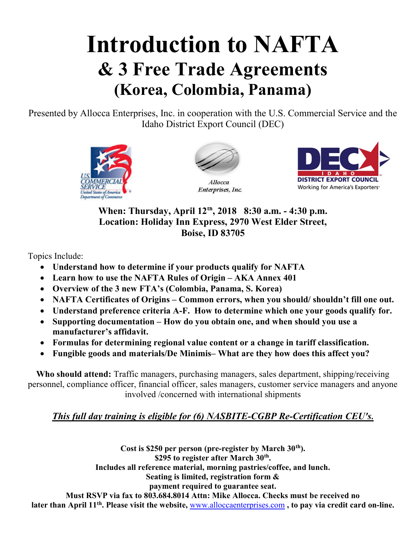# Introduction to NAFTA & 3 Free Trade Agreements (Korea, Colombia, Panama)

Presented by Allocca Enterprises, Inc. in cooperation with the U.S. Commercial Service and the Idaho District Export Council (DEC)





**Allocca** Enterprises, Inc.



When: Thursday, April 12<sup>th</sup>, 2018 8:30 a.m. - 4:30 p.m. Location: Holiday Inn Express, 2970 West Elder Street, Boise, ID 83705

Topics Include:

- Understand how to determine if your products qualify for NAFTA
- Learn how to use the NAFTA Rules of Origin AKA Annex 401
- Overview of the 3 new FTA's (Colombia, Panama, S. Korea)
- NAFTA Certificates of Origins Common errors, when you should/shouldn't fill one out.
- Understand preference criteria A-F. How to determine which one your goods qualify for.
- Supporting documentation How do you obtain one, and when should you use a manufacturer's affidavit.
- Formulas for determining regional value content or a change in tariff classification.
- Fungible goods and materials/De Minimis– What are they how does this affect you?

Who should attend: Traffic managers, purchasing managers, sales department, shipping/receiving personnel, compliance officer, financial officer, sales managers, customer service managers and anyone involved /concerned with international shipments

### This full day training is eligible for (6) NASBITE-CGBP Re-Certification CEU's.

Cost is \$250 per person (pre-register by March  $30<sup>th</sup>$ ). \$295 to register after March  $30<sup>th</sup>$ . Includes all reference material, morning pastries/coffee, and lunch. Seating is limited, registration form & payment required to guarantee seat. Must RSVP via fax to 803.684.8014 Attn: Mike Allocca. Checks must be received no later than April 11<sup>th</sup>. Please visit the website, www.alloccaenterprises.com, to pay via credit card on-line.